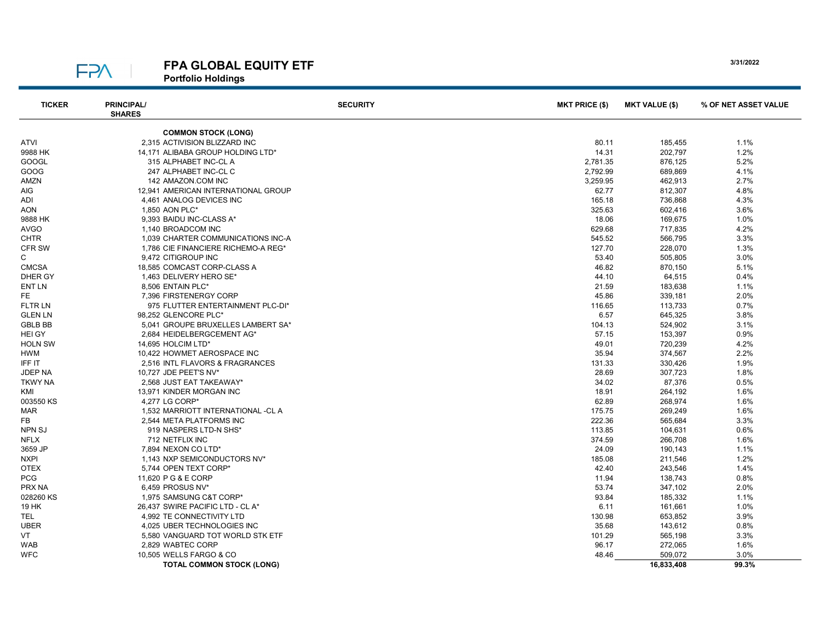**FPA** 

## FPA GLOBAL EQUITY ETF

Portfolio Holdings

| <b>TICKER</b>  | <b>PRINCIPAL/</b><br><b>SHARES</b>  | <b>SECURITY</b>          | <b>MKT PRICE (\$)</b> | <b>MKT VALUE (\$)</b> | % OF NET ASSET VALUE |  |  |
|----------------|-------------------------------------|--------------------------|-----------------------|-----------------------|----------------------|--|--|
|                | <b>COMMON STOCK (LONG)</b>          |                          |                       |                       |                      |  |  |
| ATVI           | 2,315 ACTIVISION BLIZZARD INC       |                          | 80.11                 | 185,455               | 1.1%                 |  |  |
| 9988 HK        | 14.171 ALIBABA GROUP HOLDING LTD*   |                          | 14.31                 | 202,797               | 1.2%                 |  |  |
| GOOGL          | 315 ALPHABET INC-CL A               |                          | 2,781.35              | 876,125               | 5.2%                 |  |  |
| GOOG           | 247 ALPHABET INC-CL C               |                          | 2,792.99              | 689,869               | 4.1%                 |  |  |
| AMZN           | 142 AMAZON.COM INC                  |                          | 3,259.95              | 462,913               | 2.7%                 |  |  |
| AIG            | 12.941 AMERICAN INTERNATIONAL GROUP |                          | 62.77                 | 812,307               | 4.8%                 |  |  |
| ADI            |                                     | 4,461 ANALOG DEVICES INC |                       | 736,868               | 4.3%                 |  |  |
| <b>AON</b>     |                                     | 1,850 AON PLC*           |                       | 602,416               | 3.6%                 |  |  |
| 9888 HK        | 9,393 BAIDU INC-CLASS A*            |                          | 325.63<br>18.06       | 169,675               | 1.0%                 |  |  |
| <b>AVGO</b>    | 1,140 BROADCOM INC                  |                          | 629.68                | 717,835               | 4.2%                 |  |  |
| <b>CHTR</b>    | 1,039 CHARTER COMMUNICATIONS INC-A  |                          | 545.52                | 566,795               | 3.3%                 |  |  |
| <b>CFR SW</b>  | 1,786 CIE FINANCIERE RICHEMO-A REG* |                          | 127.70                | 228,070               | 1.3%                 |  |  |
| С              | 9,472 CITIGROUP INC                 |                          | 53.40                 | 505,805               | 3.0%                 |  |  |
| <b>CMCSA</b>   | 18,585 COMCAST CORP-CLASS A         |                          | 46.82                 | 870,150               | 5.1%                 |  |  |
| DHER GY        | 1,463 DELIVERY HERO SE*             |                          | 44.10                 | 64,515                | 0.4%                 |  |  |
| ENT LN         | 8,506 ENTAIN PLC*                   |                          | 21.59                 | 183,638               | 1.1%                 |  |  |
| FE             | 7.396 FIRSTENERGY CORP              |                          | 45.86                 | 339,181               | 2.0%                 |  |  |
| FLTR LN        | 975 FLUTTER ENTERTAINMENT PLC-DI*   |                          | 116.65                | 113,733               | 0.7%                 |  |  |
| <b>GLEN LN</b> | 98.252 GLENCORE PLC*                |                          | 6.57                  | 645,325               | 3.8%                 |  |  |
| <b>GBLB BB</b> | 5,041 GROUPE BRUXELLES LAMBERT SA*  |                          | 104.13                | 524,902               | 3.1%                 |  |  |
| <b>HEI GY</b>  | 2,684 HEIDELBERGCEMENT AG*          |                          | 57.15                 | 153,397               | 0.9%                 |  |  |
| <b>HOLN SW</b> | 14,695 HOLCIM LTD*                  |                          | 49.01                 | 720,239               | 4.2%                 |  |  |
| HWM            | 10,422 HOWMET AEROSPACE INC         |                          | 35.94                 | 374,567               | 2.2%                 |  |  |
| IFF IT         | 2,516 INTL FLAVORS & FRAGRANCES     |                          | 131.33                | 330,426               | 1.9%                 |  |  |
| JDEP NA        | 10,727 JDE PEET'S NV*               |                          | 28.69                 | 307,723               | 1.8%                 |  |  |
| <b>TKWY NA</b> | 2,568 JUST EAT TAKEAWAY*            |                          | 34.02                 | 87,376                | 0.5%                 |  |  |
| KMI            | 13,971 KINDER MORGAN INC            |                          | 18.91                 | 264,192               | 1.6%                 |  |  |
| 003550 KS      | 4,277 LG CORP*                      |                          | 62.89                 | 268,974               | 1.6%                 |  |  |
| <b>MAR</b>     | 1,532 MARRIOTT INTERNATIONAL -CL A  |                          | 175.75                | 269,249               | 1.6%                 |  |  |
| <b>FB</b>      | 2.544 META PLATFORMS INC            |                          | 222.36                | 565,684               | 3.3%                 |  |  |
| <b>NPN SJ</b>  | 919 NASPERS LTD-N SHS*              |                          | 113.85                | 104,631               | 0.6%                 |  |  |
| <b>NFLX</b>    | 712 NETFLIX INC                     |                          | 374.59                | 266,708               | 1.6%                 |  |  |
| 3659 JP        | 7,894 NEXON CO LTD*                 |                          | 24.09                 | 190,143               | 1.1%                 |  |  |
| <b>NXPI</b>    | 1,143 NXP SEMICONDUCTORS NV*        |                          | 185.08                | 211,546               | 1.2%                 |  |  |
| <b>OTEX</b>    | 5,744 OPEN TEXT CORP*               |                          | 42.40                 | 243,546               | 1.4%                 |  |  |
| PCG            | 11,620 P G & E CORP                 |                          | 11.94                 | 138,743               | 0.8%                 |  |  |
| PRX NA         | 6,459 PROSUS NV*                    |                          | 53.74                 | 347,102               | 2.0%                 |  |  |
| 028260 KS      | 1,975 SAMSUNG C&T CORP*             |                          | 93.84                 | 185,332               | 1.1%                 |  |  |
| 19 HK          | 26,437 SWIRE PACIFIC LTD - CL A*    |                          | 6.11                  | 161,661               | 1.0%                 |  |  |
| TEL.           | 4,992 TE CONNECTIVITY LTD           |                          | 130.98                | 653,852               | 3.9%                 |  |  |
| <b>UBER</b>    | 4,025 UBER TECHNOLOGIES INC         |                          | 35.68                 | 143,612               | 0.8%                 |  |  |
| VT             | 5,580 VANGUARD TOT WORLD STK ETF    |                          | 101.29                | 565,198               | 3.3%                 |  |  |
| WAB            | 2.829 WABTEC CORP                   |                          | 96.17                 | 272,065               | 1.6%                 |  |  |
| <b>WFC</b>     | 10,505 WELLS FARGO & CO             |                          | 48.46                 | 509,072               | 3.0%                 |  |  |
|                | <b>TOTAL COMMON STOCK (LONG)</b>    |                          |                       | 16.833.408            | 99.3%                |  |  |